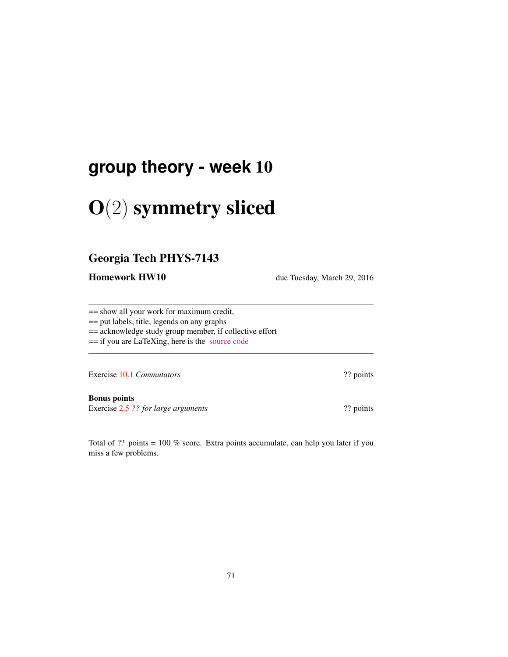# **group theory - week** 10

# O(2) symmetry sliced

### Georgia Tech PHYS-7143

Homework HW10 due Tuesday, March 29, 2016

== show all your work for maximum credit,

== put labels, title, legends on any graphs

== acknowledge study group member, if collective effort

== if you are LaTeXing, here is the [source code](http://birdtracks.eu/courses/PHYS-7143-16/exerWeek10.tex)

Exercise 10.1 *Commutators* ?? points

Bonus points Exercise 2.5 ?? *for large arguments* ?? points

Total of ?? points = 100 % score. Extra points accumulate, can help you later if you miss a few problems.